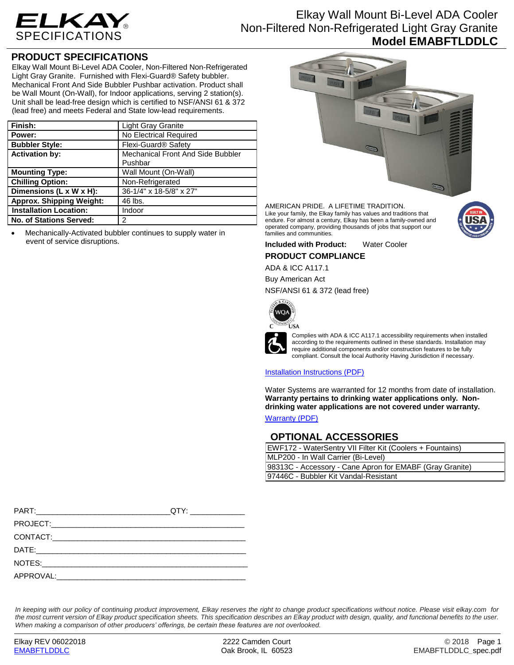

# Elkay Wall Mount Bi-Level ADA Cooler Non-Filtered Non-Refrigerated Light Gray Granite **Model EMABFTLDDLC**

## **PRODUCT SPECIFICATIONS**

Elkay Wall Mount Bi-Level ADA Cooler, Non-Filtered Non-Refrigerated Light Gray Granite. Furnished with Flexi-Guard® Safety bubbler. Mechanical Front And Side Bubbler Pushbar activation. Product shall be Wall Mount (On-Wall), for Indoor applications, serving 2 station(s). Unit shall be lead-free design which is certified to NSF/ANSI 61 & 372 (lead free) and meets Federal and State low-lead requirements.

| Finish:                         | <b>Light Gray Granite</b>         |  |
|---------------------------------|-----------------------------------|--|
| Power:                          | No Electrical Required            |  |
| <b>Bubbler Style:</b>           | Flexi-Guard <sup>®</sup> Safety   |  |
| <b>Activation by:</b>           | Mechanical Front And Side Bubbler |  |
|                                 | Pushbar                           |  |
| <b>Mounting Type:</b>           | Wall Mount (On-Wall)              |  |
| <b>Chilling Option:</b>         | Non-Refrigerated                  |  |
| Dimensions (L x W x H):         | 36-1/4" x 18-5/8" x 27"           |  |
| <b>Approx. Shipping Weight:</b> | 46 lbs.                           |  |
| <b>Installation Location:</b>   | Indoor                            |  |
| No. of Stations Served:         | 2                                 |  |

 Mechanically-Activated bubbler continues to supply water in event of service disruptions.



AMERICAN PRIDE. A LIFETIME TRADITION. Like your family, the Elkay family has values and traditions that endure. For almost a century, Elkay has been a family-owned and operated company, providing thousands of jobs that support our families and communities.



### **PRODUCT COMPLIANCE**

ADA & ICC A117.1

Buy American Act

NSF/ANSI 61 & 372 (lead free)



Complies with ADA & ICC A117.1 accessibility requirements when installed according to the requirements outlined in these standards. Installation may require additional components and/or construction features to be fully compliant. Consult the local Authority Having Jurisdiction if necessary.

### [Installation Instructions \(PDF\)](http://www.elkay.com/wcsstore/lkdocs/care-cleaning-install-warranty-sheets/98933c.pdf)

Water Systems are warranted for 12 months from date of installation. **Warranty pertains to drinking water applications only. Nondrinking water applications are not covered under warranty.** [Warranty](http://www.elkay.com/wcsstore/lkdocs/care-cleaning-install-warranty-sheets/96993c.pdf) (PDF)

**OPTIONAL ACCESSORIES**

| EWF172 - WaterSentry VII Filter Kit (Coolers + Fountains) |  |
|-----------------------------------------------------------|--|
| MLP200 - In Wall Carrier (Bi-Level)                       |  |
| 98313C - Accessory - Cane Apron for EMABF (Gray Granite)  |  |
| 97446C - Bubbler Kit Vandal-Resistant                     |  |

*In keeping with our policy of continuing product improvement, Elkay reserves the right to change product specifications without notice. Please visit elkay.com for the most current version of Elkay product specification sheets. This specification describes an Elkay product with design, quality, and functional benefits to the user. When making a comparison of other producers' offerings, be certain these features are not overlooked.*